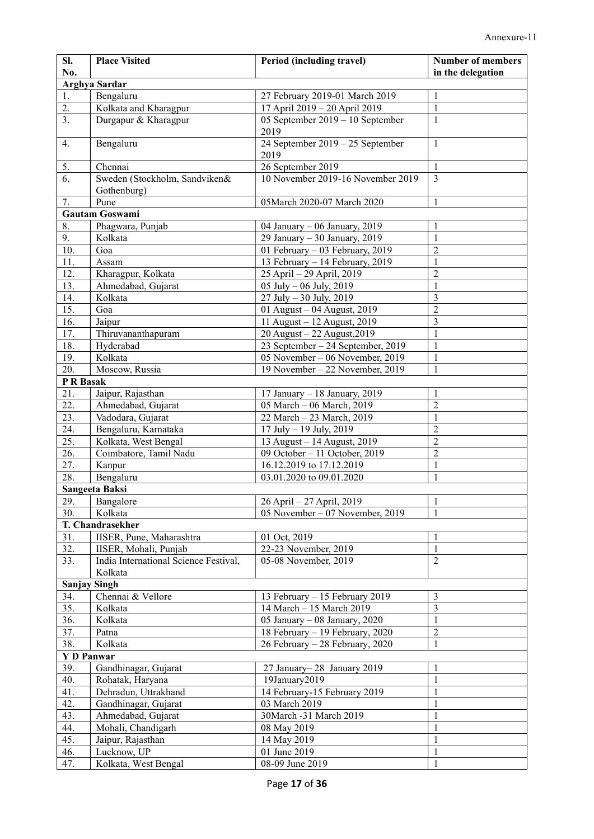| <b>Arghya Sardar</b><br>Bengaluru<br>1.<br>$\mathbf{1}$<br>27 February 2019-01 March 2019<br>Kolkata and Kharagpur<br>17 April 2019 - 20 April 2019<br>$\mathbf{1}$<br>2.<br>3.<br>05 September 2019 - 10 September<br>Durgapur & Kharagpur<br>$\mathbf{1}$<br>2019<br>24 September 2019 - 25 September<br>4.<br>Bengaluru<br>$\mathbf{1}$<br>2019<br>5.<br>26 September 2019<br>$\mathbf{1}$<br>Chennai<br>$\overline{6}$ .<br>10 November 2019-16 November 2019<br>$\overline{3}$<br>Sweden (Stockholm, Sandviken&<br>Gothenburg)<br>7.<br>Pune<br>05March 2020-07 March 2020<br>1<br>Gautam Goswami<br>8.<br>Phagwara, Punjab<br>04 January - 06 January, 2019<br>1<br>9.<br>Kolkata<br>29 January - 30 January, 2019<br>$\mathbf{1}$<br>10.<br>01 February - 03 February, 2019<br>Goa<br>$\overline{2}$<br>13 February - 14 February, 2019<br>$\mathbf{1}$<br>11.<br>Assam<br>12.<br>Kharagpur, Kolkata<br>25 April - 29 April, 2019<br>$\overline{2}$<br>$\mathbf{1}$<br>13.<br>Ahmedabad, Gujarat<br>05 July - 06 July, 2019<br>$27 \text{ July} - 30 \text{ July}, 2019$<br>14.<br>Kolkata<br>3<br>$\overline{2}$<br>15.<br>01 August - 04 August, 2019<br>Goa<br>$\overline{\mathbf{3}}$<br>16.<br>11 August - 12 August, 2019<br>Jaipur<br>Thiruvananthapuram<br>20 August - 22 August, 2019<br>$\mathbf{1}$<br>17.<br>18.<br>Hyderabad<br>23 September - 24 September, 2019<br>$\mathbf{1}$<br>Kolkata<br>05 November - 06 November, 2019<br>19.<br>$\mathbf{1}$<br>20.<br>Moscow, Russia<br>19 November - 22 November, 2019<br>$\mathbf{1}$<br>P R Basak<br>21.<br>Jaipur, Rajasthan<br>17 January - 18 January, 2019<br>1<br>05 March - 06 March, 2019<br>22.<br>Ahmedabad, Gujarat<br>$\overline{2}$<br>23.<br>$\mathbf{1}$<br>Vadodara, Gujarat<br>22 March - 23 March, 2019<br>24.<br>Bengaluru, Karnataka<br>17 July - 19 July, 2019<br>$\overline{2}$<br>25.<br>13 August - 14 August, 2019<br>$\overline{2}$<br>Kolkata, West Bengal<br>26.<br>$\overline{2}$<br>Coimbatore, Tamil Nadu<br>09 October - 11 October, 2019<br>27.<br>16.12.2019 to 17.12.2019<br>$\mathbf{1}$<br>Kanpur<br>28.<br>Bengaluru<br>03.01.2020 to 09.01.2020<br>$\mathbf{1}$<br>Sangeeta Baksi<br>29.<br>Bangalore<br>26 April - 27 April, 2019<br>$\mathbf{1}$<br>30.<br>05 November - 07 November, 2019<br>1<br>Kolkata<br>T. Chandrasekher<br>01 Oct, 2019<br>31.<br>IISER, Pune, Maharashtra<br>1<br>32.<br>22-23 November, 2019<br>$\mathbf{1}$<br>IISER, Mohali, Punjab<br>33.<br>India International Science Festival,<br>$\overline{2}$<br>05-08 November, 2019<br>Kolkata<br><b>Sanjay Singh</b><br>Chennai & Vellore<br>13 February - 15 February 2019<br>3<br>34.<br>35.<br>$\mathfrak{Z}$<br>14 March - 15 March 2019<br>Kolkata<br>36.<br>05 January - 08 January, 2020<br>$\mathbf{1}$<br>Kolkata<br>18 February - 19 February, 2020<br>37.<br>$\overline{2}$<br>Patna<br>38.<br>$\mathbf{1}$<br>Kolkata<br>26 February - 28 February, 2020<br><b>Y D Panwar</b><br>39.<br>Gandhinagar, Gujarat<br>27 January-28 January 2019<br>$\mathbf{1}$<br>$\mathbf{1}$<br>40.<br>19January2019<br>Rohatak, Haryana<br>$\mathbf{1}$<br>41.<br>Dehradun, Uttrakhand<br>14 February-15 February 2019<br>$\mathbf{1}$<br>42.<br>Gandhinagar, Gujarat<br>03 March 2019<br>43.<br>$\mathbf{1}$<br>Ahmedabad, Gujarat<br>30March -31 March 2019<br>$\mathbf{1}$<br>44.<br>Mohali, Chandigarh<br>08 May 2019<br>$\mathbf{1}$<br>45.<br>14 May 2019<br>Jaipur, Rajasthan<br>$\mathbf{1}$<br>46.<br>01 June 2019<br>Lucknow, UP<br>$\mathbf{1}$<br>47.<br>Kolkata, West Bengal<br>08-09 June 2019 | SI.<br>No. | <b>Place Visited</b> | Period (including travel) | <b>Number of members</b><br>in the delegation |  |  |
|-----------------------------------------------------------------------------------------------------------------------------------------------------------------------------------------------------------------------------------------------------------------------------------------------------------------------------------------------------------------------------------------------------------------------------------------------------------------------------------------------------------------------------------------------------------------------------------------------------------------------------------------------------------------------------------------------------------------------------------------------------------------------------------------------------------------------------------------------------------------------------------------------------------------------------------------------------------------------------------------------------------------------------------------------------------------------------------------------------------------------------------------------------------------------------------------------------------------------------------------------------------------------------------------------------------------------------------------------------------------------------------------------------------------------------------------------------------------------------------------------------------------------------------------------------------------------------------------------------------------------------------------------------------------------------------------------------------------------------------------------------------------------------------------------------------------------------------------------------------------------------------------------------------------------------------------------------------------------------------------------------------------------------------------------------------------------------------------------------------------------------------------------------------------------------------------------------------------------------------------------------------------------------------------------------------------------------------------------------------------------------------------------------------------------------------------------------------------------------------------------------------------------------------------------------------------------------------------------------------------------------------------------------------------------------------------------------------------------------------------------------------------------------------------------------------------------------------------------------------------------------------------------------------------------------------------------------------------------------------------------------------------------------------------------------------------------------------------------------------------------------------------------------------------------------------------------------------------------------------------------------------------------------------------------------------------------------------------------------------------------------------------------------------------------------------------------------------------------------------------------------------------------------------------------------------------------------------------|------------|----------------------|---------------------------|-----------------------------------------------|--|--|
|                                                                                                                                                                                                                                                                                                                                                                                                                                                                                                                                                                                                                                                                                                                                                                                                                                                                                                                                                                                                                                                                                                                                                                                                                                                                                                                                                                                                                                                                                                                                                                                                                                                                                                                                                                                                                                                                                                                                                                                                                                                                                                                                                                                                                                                                                                                                                                                                                                                                                                                                                                                                                                                                                                                                                                                                                                                                                                                                                                                                                                                                                                                                                                                                                                                                                                                                                                                                                                                                                                                                                                                         |            |                      |                           |                                               |  |  |
|                                                                                                                                                                                                                                                                                                                                                                                                                                                                                                                                                                                                                                                                                                                                                                                                                                                                                                                                                                                                                                                                                                                                                                                                                                                                                                                                                                                                                                                                                                                                                                                                                                                                                                                                                                                                                                                                                                                                                                                                                                                                                                                                                                                                                                                                                                                                                                                                                                                                                                                                                                                                                                                                                                                                                                                                                                                                                                                                                                                                                                                                                                                                                                                                                                                                                                                                                                                                                                                                                                                                                                                         |            |                      |                           |                                               |  |  |
|                                                                                                                                                                                                                                                                                                                                                                                                                                                                                                                                                                                                                                                                                                                                                                                                                                                                                                                                                                                                                                                                                                                                                                                                                                                                                                                                                                                                                                                                                                                                                                                                                                                                                                                                                                                                                                                                                                                                                                                                                                                                                                                                                                                                                                                                                                                                                                                                                                                                                                                                                                                                                                                                                                                                                                                                                                                                                                                                                                                                                                                                                                                                                                                                                                                                                                                                                                                                                                                                                                                                                                                         |            |                      |                           |                                               |  |  |
|                                                                                                                                                                                                                                                                                                                                                                                                                                                                                                                                                                                                                                                                                                                                                                                                                                                                                                                                                                                                                                                                                                                                                                                                                                                                                                                                                                                                                                                                                                                                                                                                                                                                                                                                                                                                                                                                                                                                                                                                                                                                                                                                                                                                                                                                                                                                                                                                                                                                                                                                                                                                                                                                                                                                                                                                                                                                                                                                                                                                                                                                                                                                                                                                                                                                                                                                                                                                                                                                                                                                                                                         |            |                      |                           |                                               |  |  |
|                                                                                                                                                                                                                                                                                                                                                                                                                                                                                                                                                                                                                                                                                                                                                                                                                                                                                                                                                                                                                                                                                                                                                                                                                                                                                                                                                                                                                                                                                                                                                                                                                                                                                                                                                                                                                                                                                                                                                                                                                                                                                                                                                                                                                                                                                                                                                                                                                                                                                                                                                                                                                                                                                                                                                                                                                                                                                                                                                                                                                                                                                                                                                                                                                                                                                                                                                                                                                                                                                                                                                                                         |            |                      |                           |                                               |  |  |
|                                                                                                                                                                                                                                                                                                                                                                                                                                                                                                                                                                                                                                                                                                                                                                                                                                                                                                                                                                                                                                                                                                                                                                                                                                                                                                                                                                                                                                                                                                                                                                                                                                                                                                                                                                                                                                                                                                                                                                                                                                                                                                                                                                                                                                                                                                                                                                                                                                                                                                                                                                                                                                                                                                                                                                                                                                                                                                                                                                                                                                                                                                                                                                                                                                                                                                                                                                                                                                                                                                                                                                                         |            |                      |                           |                                               |  |  |
|                                                                                                                                                                                                                                                                                                                                                                                                                                                                                                                                                                                                                                                                                                                                                                                                                                                                                                                                                                                                                                                                                                                                                                                                                                                                                                                                                                                                                                                                                                                                                                                                                                                                                                                                                                                                                                                                                                                                                                                                                                                                                                                                                                                                                                                                                                                                                                                                                                                                                                                                                                                                                                                                                                                                                                                                                                                                                                                                                                                                                                                                                                                                                                                                                                                                                                                                                                                                                                                                                                                                                                                         |            |                      |                           |                                               |  |  |
|                                                                                                                                                                                                                                                                                                                                                                                                                                                                                                                                                                                                                                                                                                                                                                                                                                                                                                                                                                                                                                                                                                                                                                                                                                                                                                                                                                                                                                                                                                                                                                                                                                                                                                                                                                                                                                                                                                                                                                                                                                                                                                                                                                                                                                                                                                                                                                                                                                                                                                                                                                                                                                                                                                                                                                                                                                                                                                                                                                                                                                                                                                                                                                                                                                                                                                                                                                                                                                                                                                                                                                                         |            |                      |                           |                                               |  |  |
|                                                                                                                                                                                                                                                                                                                                                                                                                                                                                                                                                                                                                                                                                                                                                                                                                                                                                                                                                                                                                                                                                                                                                                                                                                                                                                                                                                                                                                                                                                                                                                                                                                                                                                                                                                                                                                                                                                                                                                                                                                                                                                                                                                                                                                                                                                                                                                                                                                                                                                                                                                                                                                                                                                                                                                                                                                                                                                                                                                                                                                                                                                                                                                                                                                                                                                                                                                                                                                                                                                                                                                                         |            |                      |                           |                                               |  |  |
|                                                                                                                                                                                                                                                                                                                                                                                                                                                                                                                                                                                                                                                                                                                                                                                                                                                                                                                                                                                                                                                                                                                                                                                                                                                                                                                                                                                                                                                                                                                                                                                                                                                                                                                                                                                                                                                                                                                                                                                                                                                                                                                                                                                                                                                                                                                                                                                                                                                                                                                                                                                                                                                                                                                                                                                                                                                                                                                                                                                                                                                                                                                                                                                                                                                                                                                                                                                                                                                                                                                                                                                         |            |                      |                           |                                               |  |  |
|                                                                                                                                                                                                                                                                                                                                                                                                                                                                                                                                                                                                                                                                                                                                                                                                                                                                                                                                                                                                                                                                                                                                                                                                                                                                                                                                                                                                                                                                                                                                                                                                                                                                                                                                                                                                                                                                                                                                                                                                                                                                                                                                                                                                                                                                                                                                                                                                                                                                                                                                                                                                                                                                                                                                                                                                                                                                                                                                                                                                                                                                                                                                                                                                                                                                                                                                                                                                                                                                                                                                                                                         |            |                      |                           |                                               |  |  |
|                                                                                                                                                                                                                                                                                                                                                                                                                                                                                                                                                                                                                                                                                                                                                                                                                                                                                                                                                                                                                                                                                                                                                                                                                                                                                                                                                                                                                                                                                                                                                                                                                                                                                                                                                                                                                                                                                                                                                                                                                                                                                                                                                                                                                                                                                                                                                                                                                                                                                                                                                                                                                                                                                                                                                                                                                                                                                                                                                                                                                                                                                                                                                                                                                                                                                                                                                                                                                                                                                                                                                                                         |            |                      |                           |                                               |  |  |
|                                                                                                                                                                                                                                                                                                                                                                                                                                                                                                                                                                                                                                                                                                                                                                                                                                                                                                                                                                                                                                                                                                                                                                                                                                                                                                                                                                                                                                                                                                                                                                                                                                                                                                                                                                                                                                                                                                                                                                                                                                                                                                                                                                                                                                                                                                                                                                                                                                                                                                                                                                                                                                                                                                                                                                                                                                                                                                                                                                                                                                                                                                                                                                                                                                                                                                                                                                                                                                                                                                                                                                                         |            |                      |                           |                                               |  |  |
|                                                                                                                                                                                                                                                                                                                                                                                                                                                                                                                                                                                                                                                                                                                                                                                                                                                                                                                                                                                                                                                                                                                                                                                                                                                                                                                                                                                                                                                                                                                                                                                                                                                                                                                                                                                                                                                                                                                                                                                                                                                                                                                                                                                                                                                                                                                                                                                                                                                                                                                                                                                                                                                                                                                                                                                                                                                                                                                                                                                                                                                                                                                                                                                                                                                                                                                                                                                                                                                                                                                                                                                         |            |                      |                           |                                               |  |  |
|                                                                                                                                                                                                                                                                                                                                                                                                                                                                                                                                                                                                                                                                                                                                                                                                                                                                                                                                                                                                                                                                                                                                                                                                                                                                                                                                                                                                                                                                                                                                                                                                                                                                                                                                                                                                                                                                                                                                                                                                                                                                                                                                                                                                                                                                                                                                                                                                                                                                                                                                                                                                                                                                                                                                                                                                                                                                                                                                                                                                                                                                                                                                                                                                                                                                                                                                                                                                                                                                                                                                                                                         |            |                      |                           |                                               |  |  |
|                                                                                                                                                                                                                                                                                                                                                                                                                                                                                                                                                                                                                                                                                                                                                                                                                                                                                                                                                                                                                                                                                                                                                                                                                                                                                                                                                                                                                                                                                                                                                                                                                                                                                                                                                                                                                                                                                                                                                                                                                                                                                                                                                                                                                                                                                                                                                                                                                                                                                                                                                                                                                                                                                                                                                                                                                                                                                                                                                                                                                                                                                                                                                                                                                                                                                                                                                                                                                                                                                                                                                                                         |            |                      |                           |                                               |  |  |
|                                                                                                                                                                                                                                                                                                                                                                                                                                                                                                                                                                                                                                                                                                                                                                                                                                                                                                                                                                                                                                                                                                                                                                                                                                                                                                                                                                                                                                                                                                                                                                                                                                                                                                                                                                                                                                                                                                                                                                                                                                                                                                                                                                                                                                                                                                                                                                                                                                                                                                                                                                                                                                                                                                                                                                                                                                                                                                                                                                                                                                                                                                                                                                                                                                                                                                                                                                                                                                                                                                                                                                                         |            |                      |                           |                                               |  |  |
|                                                                                                                                                                                                                                                                                                                                                                                                                                                                                                                                                                                                                                                                                                                                                                                                                                                                                                                                                                                                                                                                                                                                                                                                                                                                                                                                                                                                                                                                                                                                                                                                                                                                                                                                                                                                                                                                                                                                                                                                                                                                                                                                                                                                                                                                                                                                                                                                                                                                                                                                                                                                                                                                                                                                                                                                                                                                                                                                                                                                                                                                                                                                                                                                                                                                                                                                                                                                                                                                                                                                                                                         |            |                      |                           |                                               |  |  |
|                                                                                                                                                                                                                                                                                                                                                                                                                                                                                                                                                                                                                                                                                                                                                                                                                                                                                                                                                                                                                                                                                                                                                                                                                                                                                                                                                                                                                                                                                                                                                                                                                                                                                                                                                                                                                                                                                                                                                                                                                                                                                                                                                                                                                                                                                                                                                                                                                                                                                                                                                                                                                                                                                                                                                                                                                                                                                                                                                                                                                                                                                                                                                                                                                                                                                                                                                                                                                                                                                                                                                                                         |            |                      |                           |                                               |  |  |
|                                                                                                                                                                                                                                                                                                                                                                                                                                                                                                                                                                                                                                                                                                                                                                                                                                                                                                                                                                                                                                                                                                                                                                                                                                                                                                                                                                                                                                                                                                                                                                                                                                                                                                                                                                                                                                                                                                                                                                                                                                                                                                                                                                                                                                                                                                                                                                                                                                                                                                                                                                                                                                                                                                                                                                                                                                                                                                                                                                                                                                                                                                                                                                                                                                                                                                                                                                                                                                                                                                                                                                                         |            |                      |                           |                                               |  |  |
|                                                                                                                                                                                                                                                                                                                                                                                                                                                                                                                                                                                                                                                                                                                                                                                                                                                                                                                                                                                                                                                                                                                                                                                                                                                                                                                                                                                                                                                                                                                                                                                                                                                                                                                                                                                                                                                                                                                                                                                                                                                                                                                                                                                                                                                                                                                                                                                                                                                                                                                                                                                                                                                                                                                                                                                                                                                                                                                                                                                                                                                                                                                                                                                                                                                                                                                                                                                                                                                                                                                                                                                         |            |                      |                           |                                               |  |  |
|                                                                                                                                                                                                                                                                                                                                                                                                                                                                                                                                                                                                                                                                                                                                                                                                                                                                                                                                                                                                                                                                                                                                                                                                                                                                                                                                                                                                                                                                                                                                                                                                                                                                                                                                                                                                                                                                                                                                                                                                                                                                                                                                                                                                                                                                                                                                                                                                                                                                                                                                                                                                                                                                                                                                                                                                                                                                                                                                                                                                                                                                                                                                                                                                                                                                                                                                                                                                                                                                                                                                                                                         |            |                      |                           |                                               |  |  |
|                                                                                                                                                                                                                                                                                                                                                                                                                                                                                                                                                                                                                                                                                                                                                                                                                                                                                                                                                                                                                                                                                                                                                                                                                                                                                                                                                                                                                                                                                                                                                                                                                                                                                                                                                                                                                                                                                                                                                                                                                                                                                                                                                                                                                                                                                                                                                                                                                                                                                                                                                                                                                                                                                                                                                                                                                                                                                                                                                                                                                                                                                                                                                                                                                                                                                                                                                                                                                                                                                                                                                                                         |            |                      |                           |                                               |  |  |
|                                                                                                                                                                                                                                                                                                                                                                                                                                                                                                                                                                                                                                                                                                                                                                                                                                                                                                                                                                                                                                                                                                                                                                                                                                                                                                                                                                                                                                                                                                                                                                                                                                                                                                                                                                                                                                                                                                                                                                                                                                                                                                                                                                                                                                                                                                                                                                                                                                                                                                                                                                                                                                                                                                                                                                                                                                                                                                                                                                                                                                                                                                                                                                                                                                                                                                                                                                                                                                                                                                                                                                                         |            |                      |                           |                                               |  |  |
|                                                                                                                                                                                                                                                                                                                                                                                                                                                                                                                                                                                                                                                                                                                                                                                                                                                                                                                                                                                                                                                                                                                                                                                                                                                                                                                                                                                                                                                                                                                                                                                                                                                                                                                                                                                                                                                                                                                                                                                                                                                                                                                                                                                                                                                                                                                                                                                                                                                                                                                                                                                                                                                                                                                                                                                                                                                                                                                                                                                                                                                                                                                                                                                                                                                                                                                                                                                                                                                                                                                                                                                         |            |                      |                           |                                               |  |  |
|                                                                                                                                                                                                                                                                                                                                                                                                                                                                                                                                                                                                                                                                                                                                                                                                                                                                                                                                                                                                                                                                                                                                                                                                                                                                                                                                                                                                                                                                                                                                                                                                                                                                                                                                                                                                                                                                                                                                                                                                                                                                                                                                                                                                                                                                                                                                                                                                                                                                                                                                                                                                                                                                                                                                                                                                                                                                                                                                                                                                                                                                                                                                                                                                                                                                                                                                                                                                                                                                                                                                                                                         |            |                      |                           |                                               |  |  |
|                                                                                                                                                                                                                                                                                                                                                                                                                                                                                                                                                                                                                                                                                                                                                                                                                                                                                                                                                                                                                                                                                                                                                                                                                                                                                                                                                                                                                                                                                                                                                                                                                                                                                                                                                                                                                                                                                                                                                                                                                                                                                                                                                                                                                                                                                                                                                                                                                                                                                                                                                                                                                                                                                                                                                                                                                                                                                                                                                                                                                                                                                                                                                                                                                                                                                                                                                                                                                                                                                                                                                                                         |            |                      |                           |                                               |  |  |
|                                                                                                                                                                                                                                                                                                                                                                                                                                                                                                                                                                                                                                                                                                                                                                                                                                                                                                                                                                                                                                                                                                                                                                                                                                                                                                                                                                                                                                                                                                                                                                                                                                                                                                                                                                                                                                                                                                                                                                                                                                                                                                                                                                                                                                                                                                                                                                                                                                                                                                                                                                                                                                                                                                                                                                                                                                                                                                                                                                                                                                                                                                                                                                                                                                                                                                                                                                                                                                                                                                                                                                                         |            |                      |                           |                                               |  |  |
|                                                                                                                                                                                                                                                                                                                                                                                                                                                                                                                                                                                                                                                                                                                                                                                                                                                                                                                                                                                                                                                                                                                                                                                                                                                                                                                                                                                                                                                                                                                                                                                                                                                                                                                                                                                                                                                                                                                                                                                                                                                                                                                                                                                                                                                                                                                                                                                                                                                                                                                                                                                                                                                                                                                                                                                                                                                                                                                                                                                                                                                                                                                                                                                                                                                                                                                                                                                                                                                                                                                                                                                         |            |                      |                           |                                               |  |  |
|                                                                                                                                                                                                                                                                                                                                                                                                                                                                                                                                                                                                                                                                                                                                                                                                                                                                                                                                                                                                                                                                                                                                                                                                                                                                                                                                                                                                                                                                                                                                                                                                                                                                                                                                                                                                                                                                                                                                                                                                                                                                                                                                                                                                                                                                                                                                                                                                                                                                                                                                                                                                                                                                                                                                                                                                                                                                                                                                                                                                                                                                                                                                                                                                                                                                                                                                                                                                                                                                                                                                                                                         |            |                      |                           |                                               |  |  |
|                                                                                                                                                                                                                                                                                                                                                                                                                                                                                                                                                                                                                                                                                                                                                                                                                                                                                                                                                                                                                                                                                                                                                                                                                                                                                                                                                                                                                                                                                                                                                                                                                                                                                                                                                                                                                                                                                                                                                                                                                                                                                                                                                                                                                                                                                                                                                                                                                                                                                                                                                                                                                                                                                                                                                                                                                                                                                                                                                                                                                                                                                                                                                                                                                                                                                                                                                                                                                                                                                                                                                                                         |            |                      |                           |                                               |  |  |
|                                                                                                                                                                                                                                                                                                                                                                                                                                                                                                                                                                                                                                                                                                                                                                                                                                                                                                                                                                                                                                                                                                                                                                                                                                                                                                                                                                                                                                                                                                                                                                                                                                                                                                                                                                                                                                                                                                                                                                                                                                                                                                                                                                                                                                                                                                                                                                                                                                                                                                                                                                                                                                                                                                                                                                                                                                                                                                                                                                                                                                                                                                                                                                                                                                                                                                                                                                                                                                                                                                                                                                                         |            |                      |                           |                                               |  |  |
|                                                                                                                                                                                                                                                                                                                                                                                                                                                                                                                                                                                                                                                                                                                                                                                                                                                                                                                                                                                                                                                                                                                                                                                                                                                                                                                                                                                                                                                                                                                                                                                                                                                                                                                                                                                                                                                                                                                                                                                                                                                                                                                                                                                                                                                                                                                                                                                                                                                                                                                                                                                                                                                                                                                                                                                                                                                                                                                                                                                                                                                                                                                                                                                                                                                                                                                                                                                                                                                                                                                                                                                         |            |                      |                           |                                               |  |  |
|                                                                                                                                                                                                                                                                                                                                                                                                                                                                                                                                                                                                                                                                                                                                                                                                                                                                                                                                                                                                                                                                                                                                                                                                                                                                                                                                                                                                                                                                                                                                                                                                                                                                                                                                                                                                                                                                                                                                                                                                                                                                                                                                                                                                                                                                                                                                                                                                                                                                                                                                                                                                                                                                                                                                                                                                                                                                                                                                                                                                                                                                                                                                                                                                                                                                                                                                                                                                                                                                                                                                                                                         |            |                      |                           |                                               |  |  |
|                                                                                                                                                                                                                                                                                                                                                                                                                                                                                                                                                                                                                                                                                                                                                                                                                                                                                                                                                                                                                                                                                                                                                                                                                                                                                                                                                                                                                                                                                                                                                                                                                                                                                                                                                                                                                                                                                                                                                                                                                                                                                                                                                                                                                                                                                                                                                                                                                                                                                                                                                                                                                                                                                                                                                                                                                                                                                                                                                                                                                                                                                                                                                                                                                                                                                                                                                                                                                                                                                                                                                                                         |            |                      |                           |                                               |  |  |
|                                                                                                                                                                                                                                                                                                                                                                                                                                                                                                                                                                                                                                                                                                                                                                                                                                                                                                                                                                                                                                                                                                                                                                                                                                                                                                                                                                                                                                                                                                                                                                                                                                                                                                                                                                                                                                                                                                                                                                                                                                                                                                                                                                                                                                                                                                                                                                                                                                                                                                                                                                                                                                                                                                                                                                                                                                                                                                                                                                                                                                                                                                                                                                                                                                                                                                                                                                                                                                                                                                                                                                                         |            |                      |                           |                                               |  |  |
|                                                                                                                                                                                                                                                                                                                                                                                                                                                                                                                                                                                                                                                                                                                                                                                                                                                                                                                                                                                                                                                                                                                                                                                                                                                                                                                                                                                                                                                                                                                                                                                                                                                                                                                                                                                                                                                                                                                                                                                                                                                                                                                                                                                                                                                                                                                                                                                                                                                                                                                                                                                                                                                                                                                                                                                                                                                                                                                                                                                                                                                                                                                                                                                                                                                                                                                                                                                                                                                                                                                                                                                         |            |                      |                           |                                               |  |  |
|                                                                                                                                                                                                                                                                                                                                                                                                                                                                                                                                                                                                                                                                                                                                                                                                                                                                                                                                                                                                                                                                                                                                                                                                                                                                                                                                                                                                                                                                                                                                                                                                                                                                                                                                                                                                                                                                                                                                                                                                                                                                                                                                                                                                                                                                                                                                                                                                                                                                                                                                                                                                                                                                                                                                                                                                                                                                                                                                                                                                                                                                                                                                                                                                                                                                                                                                                                                                                                                                                                                                                                                         |            |                      |                           |                                               |  |  |
|                                                                                                                                                                                                                                                                                                                                                                                                                                                                                                                                                                                                                                                                                                                                                                                                                                                                                                                                                                                                                                                                                                                                                                                                                                                                                                                                                                                                                                                                                                                                                                                                                                                                                                                                                                                                                                                                                                                                                                                                                                                                                                                                                                                                                                                                                                                                                                                                                                                                                                                                                                                                                                                                                                                                                                                                                                                                                                                                                                                                                                                                                                                                                                                                                                                                                                                                                                                                                                                                                                                                                                                         |            |                      |                           |                                               |  |  |
|                                                                                                                                                                                                                                                                                                                                                                                                                                                                                                                                                                                                                                                                                                                                                                                                                                                                                                                                                                                                                                                                                                                                                                                                                                                                                                                                                                                                                                                                                                                                                                                                                                                                                                                                                                                                                                                                                                                                                                                                                                                                                                                                                                                                                                                                                                                                                                                                                                                                                                                                                                                                                                                                                                                                                                                                                                                                                                                                                                                                                                                                                                                                                                                                                                                                                                                                                                                                                                                                                                                                                                                         |            |                      |                           |                                               |  |  |
|                                                                                                                                                                                                                                                                                                                                                                                                                                                                                                                                                                                                                                                                                                                                                                                                                                                                                                                                                                                                                                                                                                                                                                                                                                                                                                                                                                                                                                                                                                                                                                                                                                                                                                                                                                                                                                                                                                                                                                                                                                                                                                                                                                                                                                                                                                                                                                                                                                                                                                                                                                                                                                                                                                                                                                                                                                                                                                                                                                                                                                                                                                                                                                                                                                                                                                                                                                                                                                                                                                                                                                                         |            |                      |                           |                                               |  |  |
|                                                                                                                                                                                                                                                                                                                                                                                                                                                                                                                                                                                                                                                                                                                                                                                                                                                                                                                                                                                                                                                                                                                                                                                                                                                                                                                                                                                                                                                                                                                                                                                                                                                                                                                                                                                                                                                                                                                                                                                                                                                                                                                                                                                                                                                                                                                                                                                                                                                                                                                                                                                                                                                                                                                                                                                                                                                                                                                                                                                                                                                                                                                                                                                                                                                                                                                                                                                                                                                                                                                                                                                         |            |                      |                           |                                               |  |  |
|                                                                                                                                                                                                                                                                                                                                                                                                                                                                                                                                                                                                                                                                                                                                                                                                                                                                                                                                                                                                                                                                                                                                                                                                                                                                                                                                                                                                                                                                                                                                                                                                                                                                                                                                                                                                                                                                                                                                                                                                                                                                                                                                                                                                                                                                                                                                                                                                                                                                                                                                                                                                                                                                                                                                                                                                                                                                                                                                                                                                                                                                                                                                                                                                                                                                                                                                                                                                                                                                                                                                                                                         |            |                      |                           |                                               |  |  |
|                                                                                                                                                                                                                                                                                                                                                                                                                                                                                                                                                                                                                                                                                                                                                                                                                                                                                                                                                                                                                                                                                                                                                                                                                                                                                                                                                                                                                                                                                                                                                                                                                                                                                                                                                                                                                                                                                                                                                                                                                                                                                                                                                                                                                                                                                                                                                                                                                                                                                                                                                                                                                                                                                                                                                                                                                                                                                                                                                                                                                                                                                                                                                                                                                                                                                                                                                                                                                                                                                                                                                                                         |            |                      |                           |                                               |  |  |
|                                                                                                                                                                                                                                                                                                                                                                                                                                                                                                                                                                                                                                                                                                                                                                                                                                                                                                                                                                                                                                                                                                                                                                                                                                                                                                                                                                                                                                                                                                                                                                                                                                                                                                                                                                                                                                                                                                                                                                                                                                                                                                                                                                                                                                                                                                                                                                                                                                                                                                                                                                                                                                                                                                                                                                                                                                                                                                                                                                                                                                                                                                                                                                                                                                                                                                                                                                                                                                                                                                                                                                                         |            |                      |                           |                                               |  |  |
|                                                                                                                                                                                                                                                                                                                                                                                                                                                                                                                                                                                                                                                                                                                                                                                                                                                                                                                                                                                                                                                                                                                                                                                                                                                                                                                                                                                                                                                                                                                                                                                                                                                                                                                                                                                                                                                                                                                                                                                                                                                                                                                                                                                                                                                                                                                                                                                                                                                                                                                                                                                                                                                                                                                                                                                                                                                                                                                                                                                                                                                                                                                                                                                                                                                                                                                                                                                                                                                                                                                                                                                         |            |                      |                           |                                               |  |  |
|                                                                                                                                                                                                                                                                                                                                                                                                                                                                                                                                                                                                                                                                                                                                                                                                                                                                                                                                                                                                                                                                                                                                                                                                                                                                                                                                                                                                                                                                                                                                                                                                                                                                                                                                                                                                                                                                                                                                                                                                                                                                                                                                                                                                                                                                                                                                                                                                                                                                                                                                                                                                                                                                                                                                                                                                                                                                                                                                                                                                                                                                                                                                                                                                                                                                                                                                                                                                                                                                                                                                                                                         |            |                      |                           |                                               |  |  |
|                                                                                                                                                                                                                                                                                                                                                                                                                                                                                                                                                                                                                                                                                                                                                                                                                                                                                                                                                                                                                                                                                                                                                                                                                                                                                                                                                                                                                                                                                                                                                                                                                                                                                                                                                                                                                                                                                                                                                                                                                                                                                                                                                                                                                                                                                                                                                                                                                                                                                                                                                                                                                                                                                                                                                                                                                                                                                                                                                                                                                                                                                                                                                                                                                                                                                                                                                                                                                                                                                                                                                                                         |            |                      |                           |                                               |  |  |
|                                                                                                                                                                                                                                                                                                                                                                                                                                                                                                                                                                                                                                                                                                                                                                                                                                                                                                                                                                                                                                                                                                                                                                                                                                                                                                                                                                                                                                                                                                                                                                                                                                                                                                                                                                                                                                                                                                                                                                                                                                                                                                                                                                                                                                                                                                                                                                                                                                                                                                                                                                                                                                                                                                                                                                                                                                                                                                                                                                                                                                                                                                                                                                                                                                                                                                                                                                                                                                                                                                                                                                                         |            |                      |                           |                                               |  |  |
|                                                                                                                                                                                                                                                                                                                                                                                                                                                                                                                                                                                                                                                                                                                                                                                                                                                                                                                                                                                                                                                                                                                                                                                                                                                                                                                                                                                                                                                                                                                                                                                                                                                                                                                                                                                                                                                                                                                                                                                                                                                                                                                                                                                                                                                                                                                                                                                                                                                                                                                                                                                                                                                                                                                                                                                                                                                                                                                                                                                                                                                                                                                                                                                                                                                                                                                                                                                                                                                                                                                                                                                         |            |                      |                           |                                               |  |  |
|                                                                                                                                                                                                                                                                                                                                                                                                                                                                                                                                                                                                                                                                                                                                                                                                                                                                                                                                                                                                                                                                                                                                                                                                                                                                                                                                                                                                                                                                                                                                                                                                                                                                                                                                                                                                                                                                                                                                                                                                                                                                                                                                                                                                                                                                                                                                                                                                                                                                                                                                                                                                                                                                                                                                                                                                                                                                                                                                                                                                                                                                                                                                                                                                                                                                                                                                                                                                                                                                                                                                                                                         |            |                      |                           |                                               |  |  |
|                                                                                                                                                                                                                                                                                                                                                                                                                                                                                                                                                                                                                                                                                                                                                                                                                                                                                                                                                                                                                                                                                                                                                                                                                                                                                                                                                                                                                                                                                                                                                                                                                                                                                                                                                                                                                                                                                                                                                                                                                                                                                                                                                                                                                                                                                                                                                                                                                                                                                                                                                                                                                                                                                                                                                                                                                                                                                                                                                                                                                                                                                                                                                                                                                                                                                                                                                                                                                                                                                                                                                                                         |            |                      |                           |                                               |  |  |